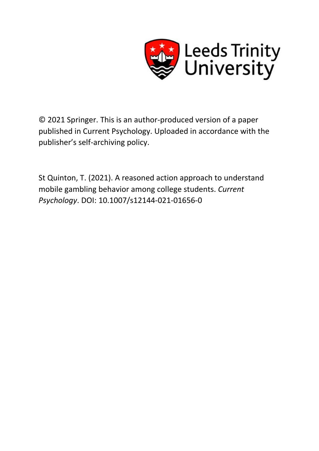

© 2021 Springer. This is an author-produced version of a paper published in Current Psychology. Uploaded in accordance with the publisher's self-archiving policy.

St Quinton, T. (2021). A reasoned action approach to understand mobile gambling behavior among college students. *Current Psychology*. DOI: 10.1007/s12144-021-01656-0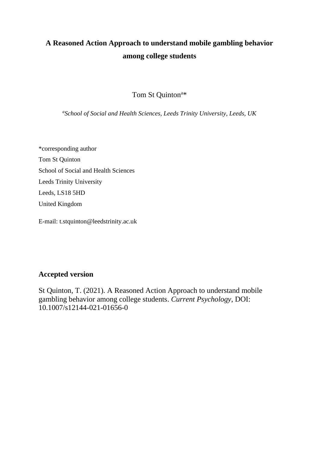# **A Reasoned Action Approach to understand mobile gambling behavior among college students**

Tom St Quinton<sup>a\*</sup>

*a School of Social and Health Sciences, Leeds Trinity University, Leeds, UK*

\*corresponding author Tom St Quinton School of Social and Health Sciences Leeds Trinity University Leeds, LS18 5HD United Kingdom

E-mail: t.stquinton@leedstrinity.ac.uk

# **Accepted version**

St Quinton, T. (2021). A Reasoned Action Approach to understand mobile gambling behavior among college students. *Current Psychology*, DOI: 10.1007/s12144-021-01656-0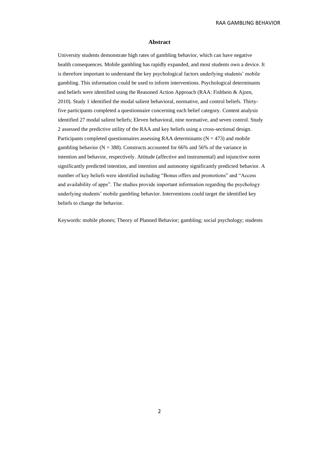#### **Abstract**

University students demonstrate high rates of gambling behavior, which can have negative health consequences. Mobile gambling has rapidly expanded, and most students own a device. It is therefore important to understand the key psychological factors underlying students' mobile gambling. This information could be used to inform interventions. Psychological determinants and beliefs were identified using the Reasoned Action Approach (RAA: Fishbein & Ajzen, 2010). Study 1 identified the modal salient behavioral, normative, and control beliefs. Thirtyfive participants completed a questionnaire concerning each belief category. Content analysis identified 27 modal salient beliefs; Eleven behavioral, nine normative, and seven control. Study 2 assessed the predictive utility of the RAA and key beliefs using a cross-sectional design. Participants completed questionnaires assessing RAA determinants ( $N = 473$ ) and mobile gambling behavior ( $N = 388$ ). Constructs accounted for 66% and 56% of the variance in intention and behavior, respectively. Attitude (affective and instrumental) and injunctive norm significantly predicted intention, and intention and autonomy significantly predicted behavior. A number of key beliefs were identified including "Bonus offers and promotions" and "Access and availability of apps". The studies provide important information regarding the psychology underlying students' mobile gambling behavior. Interventions could target the identified key beliefs to change the behavior.

Keywords: mobile phones; Theory of Planned Behavior; gambling; social psychology; students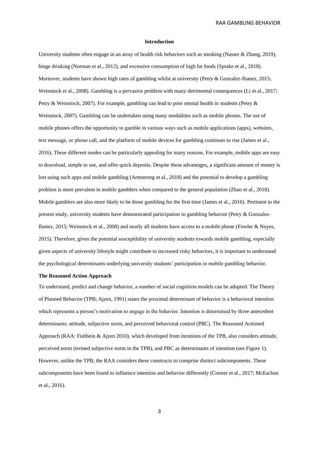#### **Introduction**

University students often engage in an array of health risk behaviors such as smoking (Nasser & Zhang, 2019), binge drinking (Norman et al., 2012), and excessive consumption of high fat foods (Sprake et al., 2018). Moreover, students have shown high rates of gambling whilst at university (Petry & Gonzalez-Ibanez, 2015; Weinstock et al., 2008). Gambling is a pervasive problem with many detrimental consequences (Li et al., 2017; Petry & Weinstock, 2007). For example, gambling can lead to poor mental health in students (Petry & Weinstock, 2007). Gambling can be undertaken using many modalities such as mobile phones. The use of mobile phones offers the opportunity to gamble in various ways such as mobile applications (apps), websites, text message, or phone call, and the platform of mobile devices for gambling continues to rise (James et al., 2016). These different modes can be particularly appealing for many reasons. For example, mobile apps are easy to download, simple to use, and offer quick deposits. Despite these advantages, a significant amount of money is lost using such apps and mobile gambling (Armstrong et al., 2018) and the potential to develop a gambling problem is more prevalent in mobile gamblers when compared to the general population (Zhao et al., 2018). Mobile gamblers are also more likely to be those gambling for the first time (James et al., 2016). Pertinent to the present study, university students have demonstrated participation in gambling behavior (Petry & Gonzalez-Ibanez, 2015; Weinstock et al., 2008) and nearly all students have access to a mobile phone (Fowler & Noyes, 2015). Therefore, given the potential susceptibility of university students towards mobile gambling, especially given aspects of university lifestyle might contribute to increased risky behaviors, it is important to understand the psychological determinants underlying university students' participation in mobile gambling behavior.

#### **The Reasoned Action Approach**

To understand, predict and change behavior, a number of social cognition models can be adopted. The Theory of Planned Behavior (TPB; Ajzen, 1991) states the proximal determinant of behavior is a behavioral intention which represents a person's motivation to engage in the behavior. Intention is determined by three antecedent determinants: attitude, subjective norm, and perceived behavioral control (PBC). The Reasoned Actioned Approach (RAA: Fishbein & Ajzen 2010), which developed from iterations of the TPB, also considers attitude, perceived norm (termed subjective norm in the TPB), and PBC as determinants of intention (see Figure 1). However, unlike the TPB, the RAA considers these constructs to comprise distinct subcomponents. These subcomponents have been found to influence intention and behavior differently (Conner et al., 2017; McEachan et al., 2016).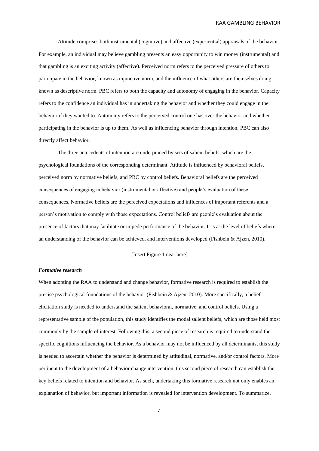Attitude comprises both instrumental (cognitive) and affective (experiential) appraisals of the behavior. For example, an individual may believe gambling presents an easy opportunity to win money (instrumental) and that gambling is an exciting activity (affective). Perceived norm refers to the perceived pressure of others to participate in the behavior, known as injunctive norm, and the influence of what others are themselves doing, known as descriptive norm. PBC refers to both the capacity and autonomy of engaging in the behavior. Capacity refers to the confidence an individual has in undertaking the behavior and whether they could engage in the behavior if they wanted to. Autonomy refers to the perceived control one has over the behavior and whether participating in the behavior is up to them. As well as influencing behavior through intention, PBC can also directly affect behavior.

The three antecedents of intention are underpinned by sets of salient beliefs, which are the psychological foundations of the corresponding determinant. Attitude is influenced by behavioral beliefs, perceived norm by normative beliefs, and PBC by control beliefs. Behavioral beliefs are the perceived consequences of engaging in behavior (instrumental or affective) and people's evaluation of these consequences. Normative beliefs are the perceived expectations and influences of important referents and a person's motivation to comply with those expectations. Control beliefs are people's evaluation about the presence of factors that may facilitate or impede performance of the behavior. It is at the level of beliefs where an understanding of the behavior can be achieved, and interventions developed (Fishbein & Ajzen, 2010).

# [Insert Figure 1 near here]

#### *Formative research*

When adopting the RAA to understand and change behavior, formative research is required to establish the precise psychological foundations of the behavior (Fishbein & Ajzen, 2010). More specifically, a belief elicitation study is needed to understand the salient behavioral, normative, and control beliefs. Using a representative sample of the population, this study identifies the modal salient beliefs, which are those held most commonly by the sample of interest. Following this, a second piece of research is required to understand the specific cognitions influencing the behavior. As a behavior may not be influenced by all determinants, this study is needed to ascertain whether the behavior is determined by attitudinal, normative, and/or control factors. More pertinent to the development of a behavior change intervention, this second piece of research can establish the key beliefs related to intention and behavior. As such, undertaking this formative research not only enables an explanation of behavior, but important information is revealed for intervention development. To summarize,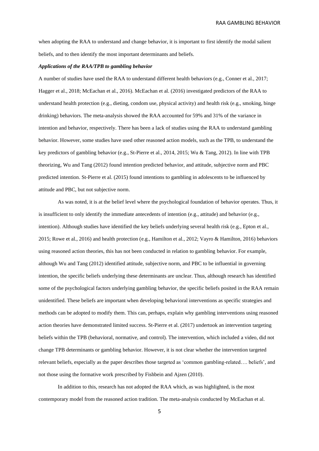when adopting the RAA to understand and change behavior, it is important to first identify the modal salient beliefs, and to then identify the most important determinants and beliefs.

#### *Applications of the RAA/TPB to gambling behavior*

A number of studies have used the RAA to understand different health behaviors (e.g., Conner et al., 2017; Hagger et al., 2018; McEachan et al., 2016). McEachan et al. (2016) investigated predictors of the RAA to understand health protection (e.g., dieting, condom use, physical activity) and health risk (e.g., smoking, binge drinking) behaviors. The meta-analysis showed the RAA accounted for 59% and 31% of the variance in intention and behavior, respectively. There has been a lack of studies using the RAA to understand gambling behavior. However, some studies have used other reasoned action models, such as the TPB, to understand the key predictors of gambling behavior (e.g., St-Pierre et al., 2014, 2015; Wu & Tang, 2012). In line with TPB theorizing, Wu and Tang (2012) found intention predicted behavior, and attitude, subjective norm and PBC predicted intention. St-Pierre et al. (2015) found intentions to gambling in adolescents to be influenced by attitude and PBC, but not subjective norm.

As was noted, it is at the belief level where the psychological foundation of behavior operates. Thus, it is insufficient to only identify the immediate antecedents of intention (e.g., attitude) and behavior (e.g., intention). Although studies have identified the key beliefs underlying several health risk (e.g., Epton et al., 2015; Rowe et al., 2016) and health protection (e.g., Hamilton et al., 2012; Vayro & Hamilton, 2016) behaviors using reasoned action theories, this has not been conducted in relation to gambling behavior. For example, although Wu and Tang (2012) identified attitude, subjective norm, and PBC to be influential in governing intention, the specific beliefs underlying these determinants are unclear. Thus, although research has identified some of the psychological factors underlying gambling behavior, the specific beliefs posited in the RAA remain unidentified. These beliefs are important when developing behavioral interventions as specific strategies and methods can be adopted to modify them. This can, perhaps, explain why gambling interventions using reasoned action theories have demonstrated limited success. St-Pierre et al. (2017) undertook an intervention targeting beliefs within the TPB (behavioral, normative, and control). The intervention, which included a video, did not change TPB determinants or gambling behavior. However, it is not clear whether the intervention targeted relevant beliefs, especially as the paper describes those targeted as 'common gambling-related…. beliefs', and not those using the formative work prescribed by Fishbein and Ajzen (2010).

In addition to this, research has not adopted the RAA which, as was highlighted, is the most contemporary model from the reasoned action tradition. The meta-analysis conducted by McEachan et al.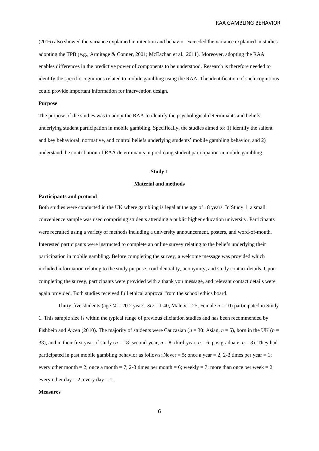(2016) also showed the variance explained in intention and behavior exceeded the variance explained in studies adopting the TPB (e.g., Armitage & Conner, 2001; McEachan et al., 2011). Moreover, adopting the RAA enables differences in the predictive power of components to be understood. Research is therefore needed to identify the specific cognitions related to mobile gambling using the RAA. The identification of such cognitions could provide important information for intervention design.

#### **Purpose**

The purpose of the studies was to adopt the RAA to identify the psychological determinants and beliefs underlying student participation in mobile gambling. Specifically, the studies aimed to: 1) identify the salient and key behavioral, normative, and control beliefs underlying students' mobile gambling behavior, and 2) understand the contribution of RAA determinants in predicting student participation in mobile gambling.

#### **Study 1**

#### **Material and methods**

#### **Participants and protocol**

Both studies were conducted in the UK where gambling is legal at the age of 18 years. In Study 1, a small convenience sample was used comprising students attending a public higher education university. Participants were recruited using a variety of methods including a university announcement, posters, and word-of-mouth. Interested participants were instructed to complete an online survey relating to the beliefs underlying their participation in mobile gambling. Before completing the survey, a welcome message was provided which included information relating to the study purpose, confidentiality, anonymity, and study contact details. Upon completing the survey, participants were provided with a thank you message, and relevant contact details were again provided. Both studies received full ethical approval from the school ethics board.

Thirty-five students (age  $M = 20.2$  years,  $SD = 1.40$ , Male  $n = 25$ , Female  $n = 10$ ) participated in Study 1. This sample size is within the typical range of previous elicitation studies and has been recommended by Fishbein and Ajzen (2010). The majority of students were Caucasian (*n* = 30: Asian, *n* = 5), born in the UK (*n* = 33), and in their first year of study ( $n = 18$ : second-year,  $n = 8$ : third-year,  $n = 6$ : postgraduate,  $n = 3$ ). They had participated in past mobile gambling behavior as follows: Never = 5; once a year = 2; 2-3 times per year = 1; every other month = 2; once a month = 7; 2-3 times per month = 6; weekly = 7; more than once per week = 2; every other day  $= 2$ ; every day  $= 1$ .

#### **Measures**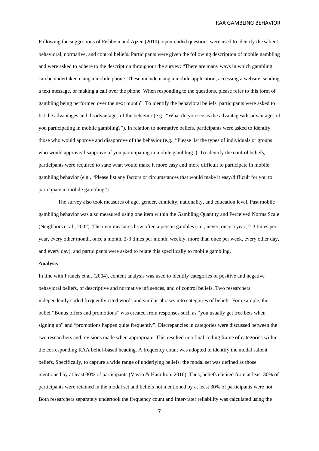Following the suggestions of Fishbein and Ajzen (2010), open-ended questions were used to identify the salient behavioral, normative, and control beliefs. Participants were given the following description of mobile gambling and were asked to adhere to the description throughout the survey: "There are many ways in which gambling can be undertaken using a mobile phone. These include using a mobile application, accessing a website, sending a text message, or making a call over the phone. When responding to the questions, please refer to this form of gambling being performed over the next month". To identify the behavioral beliefs, participants were asked to list the advantages and disadvantages of the behavior (e.g., "What do you see as the advantages/disadvantages of you participating in mobile gambling?"). In relation to normative beliefs, participants were asked to identify those who would approve and disapprove of the behavior (e.g., "Please list the types of individuals or groups who would approve/disapprove of you participating in mobile gambling"). To identify the control beliefs, participants were required to state what would make it more easy and more difficult to participate in mobile gambling behavior (e.g., "Please list any factors or circumstances that would make it easy/difficult for you to participate in mobile gambling").

The survey also took measures of age, gender, ethnicity, nationality, and education level. Past mobile gambling behavior was also measured using one item within the Gambling Quantity and Perceived Norms Scale (Neighbors et al., 2002). The item measures how often a person gambles (i.e., never, once a year, 2-3 times per year, every other month, once a month, 2-3 times per month, weekly, more than once per week, every other day, and every day), and participants were asked to relate this specifically to mobile gambling.

# **Analysis**

In line with Francis et al. (2004), content analysis was used to identify categories of positive and negative behavioral beliefs, of descriptive and normative influences, and of control beliefs. Two researchers independently coded frequently cited words and similar phrases into categories of beliefs. For example, the belief "Bonus offers and promotions" was created from responses such as "you usually get free bets when signing up" and "promotions happen quite frequently". Discrepancies in categories were discussed between the two researchers and revisions made when appropriate. This resulted in a final coding frame of categories within the corresponding RAA belief-based heading. A frequency count was adopted to identify the modal salient beliefs. Specifically, to capture a wide range of underlying beliefs, the modal set was defined as those mentioned by at least 30% of participants (Vayro & Hamilton, 2016). Thus, beliefs elicited from at least 30% of participants were retained in the modal set and beliefs not mentioned by at least 30% of participants were not. Both researchers separately undertook the frequency count and inter-rater reliability was calculated using the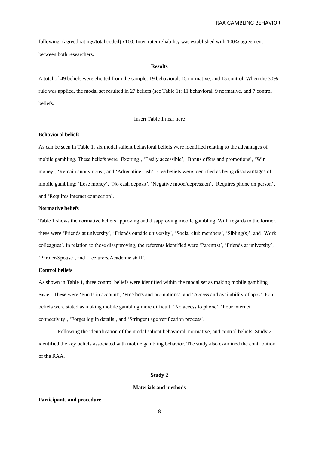following: (agreed ratings/total coded) x100. Inter-rater reliability was established with 100% agreement between both researchers.

#### **Results**

A total of 49 beliefs were elicited from the sample: 19 behavioral, 15 normative, and 15 control. When the 30% rule was applied, the modal set resulted in 27 beliefs (see Table 1): 11 behavioral, 9 normative, and 7 control beliefs.

#### [Insert Table 1 near here]

# **Behavioral beliefs**

As can be seen in Table 1, six modal salient behavioral beliefs were identified relating to the advantages of mobile gambling. These beliefs were 'Exciting', 'Easily accessible', 'Bonus offers and promotions', 'Win money', 'Remain anonymous', and 'Adrenaline rush'. Five beliefs were identified as being disadvantages of mobile gambling: 'Lose money', 'No cash deposit', 'Negative mood/depression', 'Requires phone on person', and 'Requires internet connection'.

#### **Normative beliefs**

Table 1 shows the normative beliefs approving and disapproving mobile gambling. With regards to the former, these were 'Friends at university', 'Friends outside university', 'Social club members', 'Sibling(s)', and 'Work colleagues'. In relation to those disapproving, the referents identified were 'Parent(s)', 'Friends at university', 'Partner/Spouse', and 'Lecturers/Academic staff'.

# **Control beliefs**

As shown in Table 1, three control beliefs were identified within the modal set as making mobile gambling easier. These were 'Funds in account', 'Free bets and promotions', and 'Access and availability of apps'. Four beliefs were stated as making mobile gambling more difficult: 'No access to phone', 'Poor internet connectivity', 'Forget log in details', and 'Stringent age verification process'.

Following the identification of the modal salient behavioral, normative, and control beliefs, Study 2 identified the key beliefs associated with mobile gambling behavior. The study also examined the contribution of the RAA.

#### **Study 2**

#### **Materials and methods**

#### **Participants and procedure**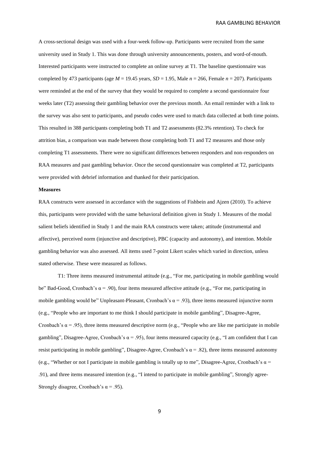A cross-sectional design was used with a four-week follow-up. Participants were recruited from the same university used in Study 1. This was done through university announcements, posters, and word-of-mouth. Interested participants were instructed to complete an online survey at T1. The baseline questionnaire was completed by 473 participants (age  $M = 19.45$  years,  $SD = 1.95$ , Male  $n = 266$ , Female  $n = 207$ ). Participants were reminded at the end of the survey that they would be required to complete a second questionnaire four weeks later (T2) assessing their gambling behavior over the previous month. An email reminder with a link to the survey was also sent to participants, and pseudo codes were used to match data collected at both time points. This resulted in 388 participants completing both T1 and T2 assessments (82.3% retention). To check for attrition bias, a comparison was made between those completing both T1 and T2 measures and those only completing T1 assessments. There were no significant differences between responders and non-responders on RAA measures and past gambling behavior. Once the second questionnaire was completed at T2, participants were provided with debrief information and thanked for their participation.

#### **Measures**

RAA constructs were assessed in accordance with the suggestions of Fishbein and Ajzen (2010). To achieve this, participants were provided with the same behavioral definition given in Study 1. Measures of the modal salient beliefs identified in Study 1 and the main RAA constructs were taken; attitude (instrumental and affective), perceived norm (injunctive and descriptive), PBC (capacity and autonomy), and intention. Mobile gambling behavior was also assessed. All items used 7-point Likert scales which varied in direction, unless stated otherwise. These were measured as follows.

T1: Three items measured instrumental attitude (e.g., "For me, participating in mobile gambling would be" Bad-Good, Cronbach's  $\alpha$  = .90), four items measured affective attitude (e.g., "For me, participating in mobile gambling would be" Unpleasant-Pleasant, Cronbach's  $\alpha$  = .93), three items measured injunctive norm (e.g., "People who are important to me think I should participate in mobile gambling", Disagree-Agree, Cronbach's  $\alpha$  = .95), three items measured descriptive norm (e.g., "People who are like me participate in mobile gambling", Disagree-Agree, Cronbach's  $\alpha$  = .95), four items measured capacity (e.g., "I am confident that I can resist participating in mobile gambling", Disagree-Agree, Cronbach's  $\alpha$  = .82), three items measured autonomy (e.g., "Whether or not I participate in mobile gambling is totally up to me", Disagree-Agree, Cronbach's  $\alpha$  = .91), and three items measured intention (e.g., "I intend to participate in mobile gambling", Strongly agree-Strongly disagree, Cronbach's  $\alpha$  = .95).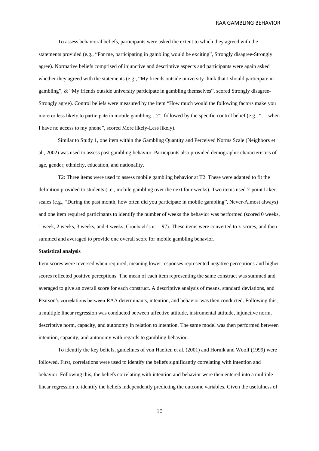To assess behavioral beliefs, participants were asked the extent to which they agreed with the statements provided (e.g., "For me, participating in gambling would be exciting", Strongly disagree-Strongly agree). Normative beliefs comprised of injunctive and descriptive aspects and participants were again asked whether they agreed with the statements (e.g., "My friends outside university think that I should participate in gambling", & "My friends outside university participate in gambling themselves", scored Strongly disagree-Strongly agree). Control beliefs were measured by the item "How much would the following factors make you more or less likely to participate in mobile gambling…?", followed by the specific control belief (e.g., "… when I have no access to my phone", scored More likely-Less likely).

Similar to Study 1, one item within the Gambling Quantity and Perceived Norms Scale (Neighbors et al., 2002) was used to assess past gambling behavior. Participants also provided demographic characteristics of age, gender, ethnicity, education, and nationality.

T2: Three items were used to assess mobile gambling behavior at T2. These were adapted to fit the definition provided to students (i.e., mobile gambling over the next four weeks). Two items used 7-point Likert scales (e.g., "During the past month, how often did you participate in mobile gambling", Never-Almost always) and one item required participants to identify the number of weeks the behavior was performed (scored 0 weeks, 1 week, 2 weeks, 3 weeks, and 4 weeks, Cronbach's  $\alpha$  = .97). These items were converted to z-scores, and then summed and averaged to provide one overall score for mobile gambling behavior.

#### **Statistical analysis**

Item scores were reversed when required, meaning lower responses represented negative perceptions and higher scores reflected positive perceptions. The mean of each item representing the same construct was summed and averaged to give an overall score for each construct. A descriptive analysis of means, standard deviations, and Pearson's correlations between RAA determinants, intention, and behavior was then conducted. Following this, a multiple linear regression was conducted between affective attitude, instrumental attitude, injunctive norm, descriptive norm, capacity, and autonomy in relation to intention. The same model was then performed between intention, capacity, and autonomy with regards to gambling behavior.

To identify the key beliefs, guidelines of von Haeften et al. (2001) and Hornik and Woolf (1999) were followed. First, correlations were used to identify the beliefs significantly correlating with intention and behavior. Following this, the beliefs correlating with intention and behavior were then entered into a multiple linear regression to identify the beliefs independently predicting the outcome variables. Given the usefulness of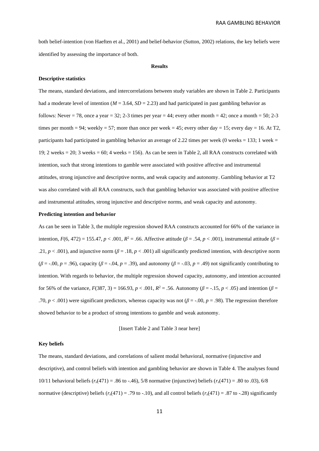both belief-intention (von Haeften et al., 2001) and belief-behavior (Sutton, 2002) relations, the key beliefs were identified by assessing the importance of both.

#### **Results**

#### **Descriptive statistics**

The means, standard deviations, and intercorrelations between study variables are shown in Table 2. Participants had a moderate level of intention ( $M = 3.64$ ,  $SD = 2.23$ ) and had participated in past gambling behavior as follows: Never = 78, once a year = 32; 2-3 times per year = 44; every other month = 42; once a month = 50; 2-3 times per month = 94; weekly = 57; more than once per week = 45; every other day = 15; every day = 16. At T2, participants had participated in gambling behavior an average of 2.22 times per week (0 weeks = 133; 1 week = 19; 2 weeks = 20; 3 weeks = 60; 4 weeks = 156). As can be seen in Table 2, all RAA constructs correlated with intention, such that strong intentions to gamble were associated with positive affective and instrumental attitudes, strong injunctive and descriptive norms, and weak capacity and autonomy. Gambling behavior at T2 was also correlated with all RAA constructs, such that gambling behavior was associated with positive affective and instrumental attitudes, strong injunctive and descriptive norms, and weak capacity and autonomy.

#### **Predicting intention and behavior**

As can be seen in Table 3, the multiple regression showed RAA constructs accounted for 66% of the variance in intention,  $F(6, 472) = 155.47$ ,  $p < .001$ ,  $R^2 = .66$ . Affective attitude ( $\beta = .54$ ,  $p < .001$ ), instrumental attitude ( $\beta =$ .21,  $p < .001$ ), and injunctive norm ( $\beta = .18$ ,  $p < .001$ ) all significantly predicted intention, with descriptive norm  $(\beta = -0.00, p = .96)$ , capacity  $(\beta = -0.04, p = .39)$ , and autonomy  $(\beta = -0.03, p = .49)$  not significantly contributing to intention. With regards to behavior, the multiple regression showed capacity, autonomy, and intention accounted for 56% of the variance, *F*(387, 3) = 166.93, *p* < .001, *R* <sup>2</sup> = *.*56. Autonomy (*β* = -.15, *p* < .05) and intention (*β* = .70,  $p < .001$ ) were significant predictors, whereas capacity was not ( $\beta = .00$ ,  $p = .98$ ). The regression therefore showed behavior to be a product of strong intentions to gamble and weak autonomy.

[Insert Table 2 and Table 3 near here]

#### **Key beliefs**

The means, standard deviations, and correlations of salient modal behavioral, normative (injunctive and descriptive), and control beliefs with intention and gambling behavior are shown in Table 4. The analyses found 10/11 behavioral beliefs (*rs*(471) = .86 to -.46), 5/8 normative (injunctive) beliefs (*rs*(471) = .80 to .03), 6/8 normative (descriptive) beliefs  $(r_s(471) = .79$  to  $-.10$ ), and all control beliefs  $(r_s(471) = .87$  to  $-.28)$  significantly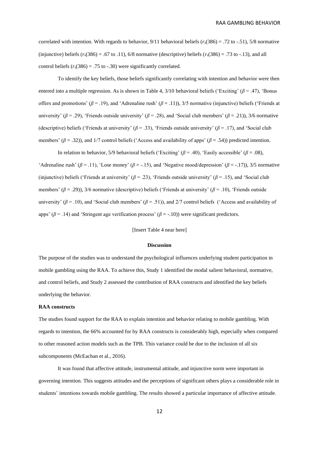correlated with intention. With regards to behavior,  $9/11$  behavioral beliefs ( $r_s(386) = .72$  to -.51), 5/8 normative (injunctive) beliefs  $(r_s(386) = .67 \text{ to } .11)$ , 6/8 normative (descriptive) beliefs  $(r_s(386) = .73 \text{ to } .13)$ , and all control beliefs  $(r_s(386) = .75$  to -.30) were significantly correlated.

To identify the key beliefs, those beliefs significantly correlating with intention and behavior were then entered into a multiple regression. As is shown in Table 4, 3/10 behavioral beliefs ('Exciting' (*β* = .47), 'Bonus offers and promotions' (*β* = .19), and 'Adrenaline rush' (*β* = .11)), 3/5 normative (injunctive) beliefs ('Friends at university' ( $\beta$  = .29), 'Friends outside university' ( $\beta$  = .28), and 'Social club members' ( $\beta$  = .21)), 3/6 normative (descriptive) beliefs ('Friends at university'  $(\beta = .33)$ , 'Friends outside university'  $(\beta = .17)$ , and 'Social club members' ( $\beta$  = .32)), and 1/7 control beliefs ('Access and availability of apps' ( $\beta$  = .54)) predicted intention.

In relation to behavior, 5/9 behavioral beliefs ('Exciting'  $(\beta = .40)$ , 'Easily accessible'  $(\beta = .08)$ , 'Adrenaline rush' ( $\beta$  = .11), 'Lose money' ( $\beta$  = -.15), and 'Negative mood/depression' ( $\beta$  = -.17)), 3/5 normative (injunctive) beliefs ('Friends at university' ( $\beta$  = .23), 'Friends outside university' ( $\beta$  = .15), and 'Social club members' (*β* = .29)), 3/6 normative (descriptive) beliefs ('Friends at university' (*β* = .10), 'Friends outside university' ( $\beta$  = .10), and 'Social club members' ( $\beta$  = .51)), and 2/7 control beliefs ('Access and availability of apps' ( $\beta$  = .14) and 'Stringent age verification process' ( $\beta$  = -.10)) were significant predictors.

### [Insert Table 4 near here]

#### **Discussion**

The purpose of the studies was to understand the psychological influences underlying student participation in mobile gambling using the RAA. To achieve this, Study 1 identified the modal salient behavioral, normative, and control beliefs, and Study 2 assessed the contribution of RAA constructs and identified the key beliefs underlying the behavior.

# **RAA constructs**

The studies found support for the RAA to explain intention and behavior relating to mobile gambling. With regards to intention, the 66% accounted for by RAA constructs is considerably high, especially when compared to other reasoned action models such as the TPB. This variance could be due to the inclusion of all six subcomponents (McEachan et al., 2016).

It was found that affective attitude, instrumental attitude, and injunctive norm were important in governing intention. This suggests attitudes and the perceptions of significant others plays a considerable role in students' intentions towards mobile gambling. The results showed a particular importance of affective attitude.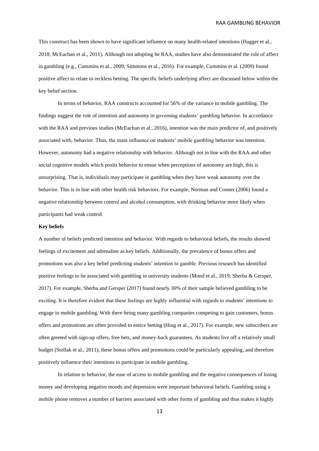This construct has been shown to have significant influence on many health-related intentions (Hagger et al., 2018; McEachan et al., 2011). Although not adopting he RAA, studies have also demonstrated the role of affect in gambling (e.g., Cummins et al., 2009; Simmons et al., 2016). For example, Cummins et al. (2009) found positive affect to relate to reckless betting. The specific beliefs underlying affect are discussed below within the key belief section.

In terms of behavior, RAA constructs accounted for 56% of the variance in mobile gambling. The findings suggest the role of intention and autonomy in governing students' gambling behavior. In accordance with the RAA and previous studies (McEachan et al., 2016), intention was the main predictor of, and positively associated with, behavior. Thus, the main influence on students' mobile gambling behavior was intention. However, autonomy had a negative relationship with behavior. Although not in line with the RAA and other social cognitive models which posits behavior to ensue when perceptions of autonomy are high, this is unsurprising. That is, individuals may participate in gambling when they have weak autonomy over the behavior. This is in line with other health risk behaviors. For example, Norman and Conner (2006) found a negative relationship between control and alcohol consumption, with drinking behavior more likely when participants had weak control.

#### **Key beliefs**

A number of beliefs predicted intention and behavior. With regards to behavioral beliefs, the results showed feelings of excitement and adrenaline as key beliefs. Additionally, the prevalence of bonus offers and promotions was also a key belief predicting students' intention to gamble. Previous research has identified positive feelings to be associated with gambling in university students (Mond et al., 2019; Sherba & Gersper, 2017). For example, Sherba and Gersper (2017) found nearly 30% of their sample believed gambling to be exciting. It is therefore evident that these feelings are highly influential with regards to students' intentions to engage in mobile gambling. With there being many gambling companies competing to gain customers, bonus offers and promotions are often provided to entice betting (Hing et al., 2017). For example, new subscribers are often greeted with sign-up offers, free bets, and money-back guarantees. As students live off a relatively small budget (Stollak et al., 2011), these bonus offers and promotions could be particularly appealing, and therefore positively influence their intentions to participate in mobile gambling.

In relation to behavior, the ease of access to mobile gambling and the negative consequences of losing money and developing negative moods and depression were important behavioral beliefs. Gambling using a mobile phone removes a number of barriers associated with other forms of gambling and thus makes it highly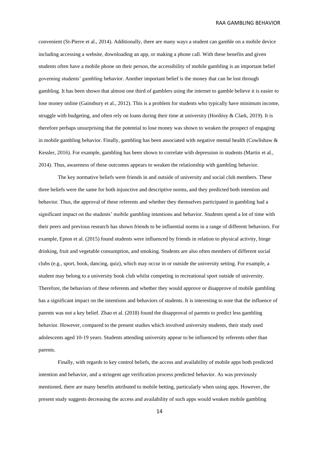convenient (St-Pierre et al., 2014). Additionally, there are many ways a student can gamble on a mobile device including accessing a website, downloading an app, or making a phone call. With these benefits and given students often have a mobile phone on their person, the accessibility of mobile gambling is an important belief governing students' gambling behavior. Another important belief is the money that can be lost through gambling. It has been shown that almost one third of gamblers using the internet to gamble believe it is easier to lose money online (Gainsbury et al., 2012). This is a problem for students who typically have minimum income, struggle with budgeting, and often rely on loans during their time at university (Hordósy & Clark, 2019). It is therefore perhaps unsurprising that the potential to lose money was shown to weaken the prospect of engaging in mobile gambling behavior. Finally, gambling has been associated with negative mental health (Cowlishaw & Kessler, 2016). For example, gambling has been shown to correlate with depression in students (Martin et al., 2014). Thus, awareness of these outcomes appears to weaken the relationship with gambling behavior.

The key normative beliefs were friends in and outside of university and social club members. These three beliefs were the same for both injunctive and descriptive norms, and they predicted both intention and behavior. Thus, the approval of these referents and whether they themselves participated in gambling had a significant impact on the students' mobile gambling intentions and behavior. Students spend a lot of time with their peers and previous research has shown friends to be influential norms in a range of different behaviors. For example, Epton et al. (2015) found students were influenced by friends in relation to physical activity, binge drinking, fruit and vegetable consumption, and smoking. Students are also often members of different social clubs (e.g., sport, book, dancing, quiz), which may occur in or outside the university setting. For example, a student may belong to a university book club whilst competing in recreational sport outside of university. Therefore, the behaviors of these referents and whether they would approve or disapprove of mobile gambling has a significant impact on the intentions and behaviors of students. It is interesting to note that the influence of parents was not a key belief. Zhao et al. (2018) found the disapproval of parents to predict less gambling behavior. However, compared to the present studies which involved university students, their study used adolescents aged 10-19 years. Students attending university appear to be influenced by referents other than parents.

Finally, with regards to key control beliefs, the access and availability of mobile apps both predicted intention and behavior, and a stringent age verification process predicted behavior. As was previously mentioned, there are many benefits attributed to mobile betting, particularly when using apps. However, the present study suggests decreasing the access and availability of such apps would weaken mobile gambling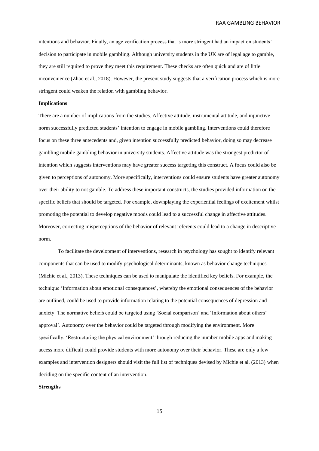intentions and behavior. Finally, an age verification process that is more stringent had an impact on students' decision to participate in mobile gambling. Although university students in the UK are of legal age to gamble, they are still required to prove they meet this requirement. These checks are often quick and are of little inconvenience (Zhao et al., 2018). However, the present study suggests that a verification process which is more stringent could weaken the relation with gambling behavior.

#### **Implications**

There are a number of implications from the studies. Affective attitude, instrumental attitude, and injunctive norm successfully predicted students' intention to engage in mobile gambling. Interventions could therefore focus on these three antecedents and, given intention successfully predicted behavior, doing so may decrease gambling mobile gambling behavior in university students. Affective attitude was the strongest predictor of intention which suggests interventions may have greater success targeting this construct. A focus could also be given to perceptions of autonomy. More specifically, interventions could ensure students have greater autonomy over their ability to not gamble. To address these important constructs, the studies provided information on the specific beliefs that should be targeted. For example, downplaying the experiential feelings of excitement whilst promoting the potential to develop negative moods could lead to a successful change in affective attitudes. Moreover, correcting misperceptions of the behavior of relevant referents could lead to a change in descriptive norm.

To facilitate the development of interventions, research in psychology has sought to identify relevant components that can be used to modify psychological determinants, known as behavior change techniques (Michie et al., 2013). These techniques can be used to manipulate the identified key beliefs. For example, the technique 'Information about emotional consequences', whereby the emotional consequences of the behavior are outlined, could be used to provide information relating to the potential consequences of depression and anxiety. The normative beliefs could be targeted using 'Social comparison' and 'Information about others' approval'. Autonomy over the behavior could be targeted through modifying the environment. More specifically, 'Restructuring the physical environment' through reducing the number mobile apps and making access more difficult could provide students with more autonomy over their behavior. These are only a few examples and intervention designers should visit the full list of techniques devised by Michie et al. (2013) when deciding on the specific content of an intervention.

#### **Strengths**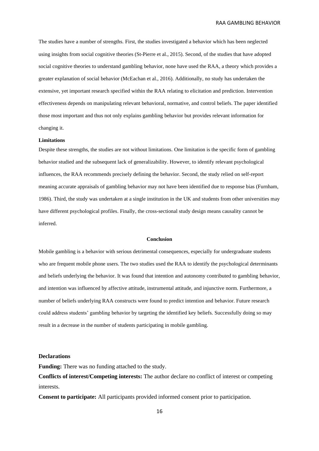The studies have a number of strengths. First, the studies investigated a behavior which has been neglected using insights from social cognitive theories (St-Pierre et al., 2015). Second, of the studies that have adopted social cognitive theories to understand gambling behavior, none have used the RAA, a theory which provides a greater explanation of social behavior (McEachan et al., 2016). Additionally, no study has undertaken the extensive, yet important research specified within the RAA relating to elicitation and prediction. Intervention effectiveness depends on manipulating relevant behavioral, normative, and control beliefs. The paper identified those most important and thus not only explains gambling behavior but provides relevant information for changing it.

#### **Limitations**

Despite these strengths, the studies are not without limitations. One limitation is the specific form of gambling behavior studied and the subsequent lack of generalizability. However, to identify relevant psychological influences, the RAA recommends precisely defining the behavior. Second, the study relied on self-report meaning accurate appraisals of gambling behavior may not have been identified due to response bias (Furnham, 1986). Third, the study was undertaken at a single institution in the UK and students from other universities may have different psychological profiles. Finally, the cross-sectional study design means causality cannot be inferred.

### **Conclusion**

Mobile gambling is a behavior with serious detrimental consequences, especially for undergraduate students who are frequent mobile phone users. The two studies used the RAA to identify the psychological determinants and beliefs underlying the behavior. It was found that intention and autonomy contributed to gambling behavior, and intention was influenced by affective attitude, instrumental attitude, and injunctive norm. Furthermore, a number of beliefs underlying RAA constructs were found to predict intention and behavior. Future research could address students' gambling behavior by targeting the identified key beliefs. Successfully doing so may result in a decrease in the number of students participating in mobile gambling.

#### **Declarations**

**Funding:** There was no funding attached to the study.

**Conflicts of interest/Competing interests:** The author declare no conflict of interest or competing interests.

**Consent to participate:** All participants provided informed consent prior to participation.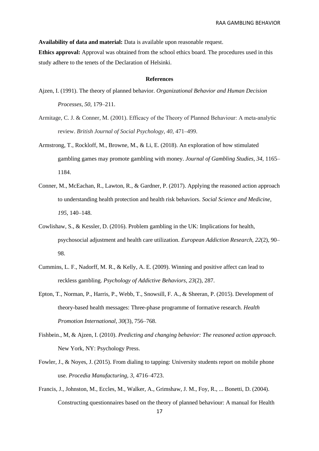**Availability of data and material:** Data is available upon reasonable request.

**Ethics approval:** Approval was obtained from the school ethics board. The procedures used in this study adhere to the tenets of the Declaration of Helsinki.

# **References**

- Ajzen, I. (1991). The theory of planned behavior. *Organizational Behavior and Human Decision Processes*, *50*, 179–211.
- Armitage, C. J. & Conner, M. (2001). Efficacy of the Theory of Planned Behaviour: A meta-analytic review. *British Journal of Social Psychology*, *40*, 471–499.
- Armstrong, T., Rockloff, M., Browne, M., & Li, E. (2018). An exploration of how stimulated gambling games may promote gambling with money. *Journal of Gambling Studies*, *34*, 1165– 1184.
- Conner, M., McEachan, R., Lawton, R., & Gardner, P. (2017). Applying the reasoned action approach to understanding health protection and health risk behaviors. *Social Science and Medicine*, *195*, 140–148.
- Cowlishaw, S., & Kessler, D. (2016). Problem gambling in the UK: Implications for health, psychosocial adjustment and health care utilization. *European Addiction Research*, *22*(2), 90– 98.
- Cummins, L. F., Nadorff, M. R., & Kelly, A. E. (2009). Winning and positive affect can lead to reckless gambling. *Psychology of Addictive Behaviors*, *23*(2), 287.
- Epton, T., Norman, P., Harris, P., Webb, T., Snowsill, F. A., & Sheeran, P. (2015). Development of theory-based health messages: Three-phase programme of formative research. *Health Promotion International, 30*(3), 756–768.
- Fishbein., M, & Ajzen, I. (2010). *Predicting and changing behavior: The reasoned action approach*. New York, NY: Psychology Press.
- Fowler, J., & Noyes, J. (2015). From dialing to tapping: University students report on mobile phone use. *Procedia Manufacturing, 3*, 4716–4723.
- Francis, J., Johnston, M., Eccles, M., Walker, A., Grimshaw, J. M., Foy, R., ... Bonetti, D. (2004). Constructing questionnaires based on the theory of planned behaviour: A manual for Health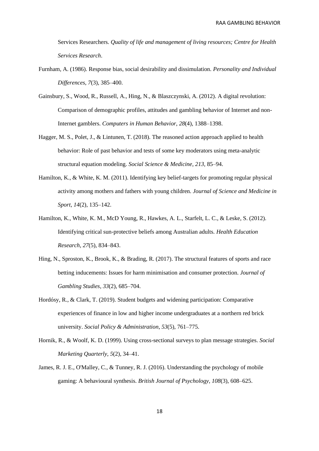Services Researchers. *Quality of life and management of living resources; Centre for Health Services Research*.

- Furnham, A. (1986). Response bias, social desirability and dissimulation. *Personality and Individual Differences*, *7*(3), 385–400.
- Gainsbury, S., Wood, R., Russell, A., Hing, N., & Blaszczynski, A. (2012). A digital revolution: Comparison of demographic profiles, attitudes and gambling behavior of Internet and non-Internet gamblers. *Computers in Human Behavior*, *28*(4), 1388–1398.
- Hagger, M. S., Polet, J., & Lintunen, T. (2018). The reasoned action approach applied to health behavior: Role of past behavior and tests of some key moderators using meta-analytic structural equation modeling. *Social Science & Medicine*, *213*, 85–94.
- Hamilton, K., & White, K. M. (2011). Identifying key belief-targets for promoting regular physical activity among mothers and fathers with young children. *Journal of Science and Medicine in Sport*, *14*(2), 135–142.
- Hamilton, K., White, K. M., McD Young, R., Hawkes, A. L., Starfelt, L. C., & Leske, S. (2012). Identifying critical sun-protective beliefs among Australian adults. *Health Education Research, 27*(5), 834–843.
- Hing, N., Sproston, K., Brook, K., & Brading, R. (2017). The structural features of sports and race betting inducements: Issues for harm minimisation and consumer protection. *Journal of Gambling Studies*, *33*(2), 685–704.
- Hordósy, R., & Clark, T. (2019). Student budgets and widening participation: Comparative experiences of finance in low and higher income undergraduates at a northern red brick university. *Social Policy & Administration*, *53*(5), 761–775.
- Hornik, R., & Woolf, K. D. (1999). Using cross-sectional surveys to plan message strategies. *Social Marketing Quarterly*, *5*(2), 34–41.
- James, R. J. E., O'Malley, C., & Tunney, R. J. (2016). Understanding the psychology of mobile gaming: A behavioural synthesis. *British Journal of Psychology, 108*(3), 608–625.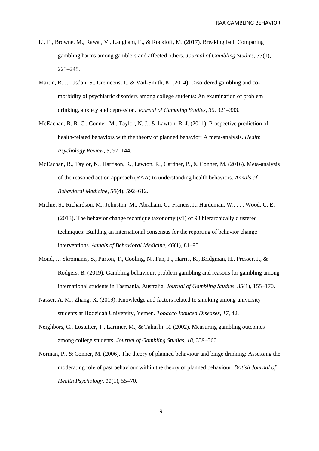- Li, E., Browne, M., Rawat, V., Langham, E., & Rockloff, M. (2017). Breaking bad: Comparing gambling harms among gamblers and affected others. *Journal of Gambling Studies, 33*(1), 223–248.
- Martin, R. J., Usdan, S., Cremeens, J., & Vail-Smith, K. (2014). Disordered gambling and comorbidity of psychiatric disorders among college students: An examination of problem drinking, anxiety and depression. *Journal of Gambling Studies*, *30*, 321–333.
- McEachan, R. R. C., Conner, M., Taylor, N. J., & Lawton, R. J. (2011). Prospective prediction of health-related behaviors with the theory of planned behavior: A meta-analysis. *Health Psychology Review*, *5*, 97–144.
- McEachan, R., Taylor, N., Harrison, R., Lawton, R., Gardner, P., & Conner, M. (2016). Meta-analysis of the reasoned action approach (RAA) to understanding health behaviors. *Annals of Behavioral Medicine*, *50*(4), 592–612.
- Michie, S., Richardson, M., Johnston, M., Abraham, C., Francis, J., Hardeman, W., . . . Wood, C. E. (2013). The behavior change technique taxonomy (v1) of 93 hierarchically clustered techniques: Building an international consensus for the reporting of behavior change interventions. *Annals of Behavioral Medicine, 46*(1), 81–95.
- Mond, J., Skromanis, S., Purton, T., Cooling, N., Fan, F., Harris, K., Bridgman, H., Presser, J., & Rodgers, B. (2019). Gambling behaviour, problem gambling and reasons for gambling among international students in Tasmania, Australia. *Journal of Gambling Studies*, *35*(1), 155–170.
- Nasser, A. M., Zhang, X. (2019). Knowledge and factors related to smoking among university students at Hodeidah University, Yemen. *Tobacco Induced Diseases*, *17*, 42.
- Neighbors, C., Lostutter, T., Larimer, M., & Takushi, R. (2002). Measuring gambling outcomes among college students. *Journal of Gambling Studies, 18,* 339–360.
- Norman, P., & Conner, M. (2006). The theory of planned behaviour and binge drinking: Assessing the moderating role of past behaviour within the theory of planned behaviour. *British Journal of Health Psychology*, *11*(1), 55–70.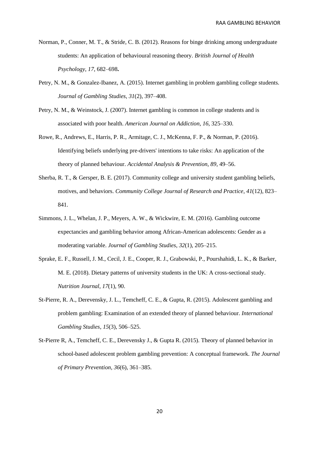- Norman, P., Conner, M. T., & Stride, C. B. (2012). Reasons for binge drinking among undergraduate students: An application of behavioural reasoning theory. *British Journal of Health Psychology*, *17*, 682–698**.**
- Petry, N. M., & Gonzalez-Ibanez, A. (2015). Internet gambling in problem gambling college students. *Journal of Gambling Studies*, *31*(2), 397–408.
- Petry, N. M., & Weinstock, J. (2007). Internet gambling is common in college students and is associated with poor health. *American Journal on Addiction*, *16*, 325–330.
- Rowe, R., Andrews, E., Harris, P. R., Armitage, C. J., McKenna, F. P., & Norman, P. (2016). Identifying beliefs underlying pre-drivers' intentions to take risks: An application of the theory of planned behaviour. *Accidental Analysis & Prevention, 89*, 49–56.
- Sherba, R. T., & Gersper, B. E. (2017). Community college and university student gambling beliefs, motives, and behaviors. *Community College Journal of Research and Practice*, *41*(12), 823– 841.
- Simmons, J. L., Whelan, J. P., Meyers, A. W., & Wickwire, E. M. (2016). Gambling outcome expectancies and gambling behavior among African-American adolescents: Gender as a moderating variable. *Journal of Gambling Studies*, *32*(1), 205–215.
- Sprake, E. F., Russell, J. M., Cecil, J. E., Cooper, R. J., Grabowski, P., Pourshahidi, L. K., & Barker, M. E. (2018). Dietary patterns of university students in the UK: A cross-sectional study. *Nutrition Journal*, *17*(1), 90.
- St-Pierre, R. A., Derevensky, J. L., Temcheff, C. E., & Gupta, R. (2015). Adolescent gambling and problem gambling: Examination of an extended theory of planned behaviour. *International Gambling Studies*, *15*(3), 506–525.
- St-Pierre R, A., Temcheff, C. E., Derevensky J., & Gupta R. (2015). Theory of planned behavior in school-based adolescent problem gambling prevention: A conceptual framework. *The Journal of Primary Prevention*, *36*(6), 361–385.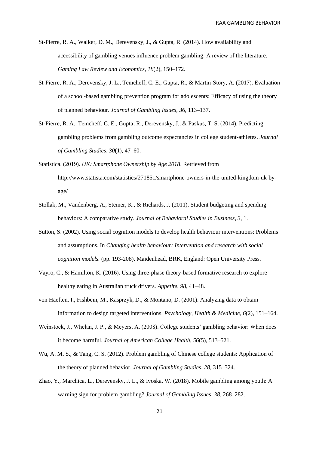- St-Pierre, R. A., Walker, D. M., Derevensky, J., & Gupta, R. (2014). How availability and accessibility of gambling venues influence problem gambling: A review of the literature. *Gaming Law Review and Economics*, *18*(2), 150–172.
- St-Pierre, R. A., Derevensky, J. L., Temcheff, C. E., Gupta, R., & Martin-Story, A. (2017). Evaluation of a school-based gambling prevention program for adolescents: Efficacy of using the theory of planned behaviour. *Journal of Gambling Issues*, *36*, 113–137.
- St-Pierre, R. A., Temcheff, C. E., Gupta, R., Derevensky, J., & Paskus, T. S. (2014). Predicting gambling problems from gambling outcome expectancies in college student-athletes. *Journal of Gambling Studies*, *30*(1), 47–60.
- Statistica. (2019). *UK: Smartphone Ownership by Age 2018*. Retrieved from http://www.statista.com/statistics/271851/smartphone-owners-in-the-united-kingdom-uk-byage/
- Stollak, M., Vandenberg, A., Steiner, K., & Richards, J. (2011). Student budgeting and spending behaviors: A comparative study. *Journal of Behavioral Studies in Business*, *3*, 1.
- Sutton, S. (2002). Using social cognition models to develop health behaviour interventions: Problems and assumptions. In *Changing health behaviour: Intervention and research with social cognition models.* (pp. 193-208). Maidenhead, BRK, England: Open University Press.
- Vayro, C., & Hamilton, K. (2016). Using three-phase theory-based formative research to explore healthy eating in Australian truck drivers. *Appetite, 98*, 41–48.
- von Haeften, I., Fishbein, M., Kasprzyk, D., & Montano, D. (2001). Analyzing data to obtain information to design targeted interventions. *Psychology, Health & Medicine, 6*(2), 151–164.
- Weinstock, J., Whelan, J. P., & Meyers, A. (2008). College students' gambling behavior: When does it become harmful. *Journal of American College Health, 56*(5), 513–521.
- Wu, A. M. S., & Tang, C. S. (2012). Problem gambling of Chinese college students: Application of the theory of planned behavior. *Journal of Gambling Studies*, *28*, 315–324.
- Zhao, Y., Marchica, L., Derevensky, J. L., & Ivoska, W. (2018). Mobile gambling among youth: A warning sign for problem gambling? *Journal of Gambling Issues, 38,* 268–282.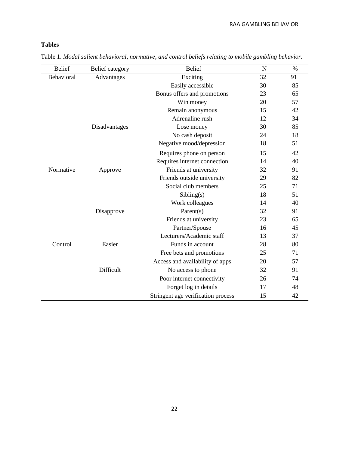# **Tables**

| <b>Belief</b> | Belief category | <b>Belief</b>                      | N  | $\%$ |
|---------------|-----------------|------------------------------------|----|------|
| Behavioral    | Advantages      | Exciting                           | 32 | 91   |
|               |                 | Easily accessible                  | 30 | 85   |
|               |                 | Bonus offers and promotions        | 23 | 65   |
|               |                 | Win money                          | 20 | 57   |
|               |                 | Remain anonymous                   | 15 | 42   |
|               |                 | Adrenaline rush                    | 12 | 34   |
|               | Disadvantages   | Lose money                         | 30 | 85   |
|               |                 | No cash deposit                    | 24 | 18   |
|               |                 | Negative mood/depression           | 18 | 51   |
|               |                 | Requires phone on person           | 15 | 42   |
|               |                 | Requires internet connection       | 14 | 40   |
| Normative     | Approve         | Friends at university              | 32 | 91   |
|               |                 | Friends outside university         | 29 | 82   |
|               |                 | Social club members                | 25 | 71   |
|               |                 | Sibling(s)                         | 18 | 51   |
|               |                 | Work colleagues                    | 14 | 40   |
|               | Disapprove      | Parent $(s)$                       | 32 | 91   |
|               |                 | Friends at university              | 23 | 65   |
|               |                 | Partner/Spouse                     | 16 | 45   |
|               |                 | Lecturers/Academic staff           | 13 | 37   |
| Control       | Easier          | Funds in account                   | 28 | 80   |
|               |                 | Free bets and promotions           | 25 | 71   |
|               |                 | Access and availability of apps    | 20 | 57   |
|               | Difficult       | No access to phone                 | 32 | 91   |
|               |                 | Poor internet connectivity         | 26 | 74   |
|               |                 | Forget log in details              | 17 | 48   |
|               |                 | Stringent age verification process | 15 | 42   |

Table 1. *Modal salient behavioral, normative, and control beliefs relating to mobile gambling behavior*.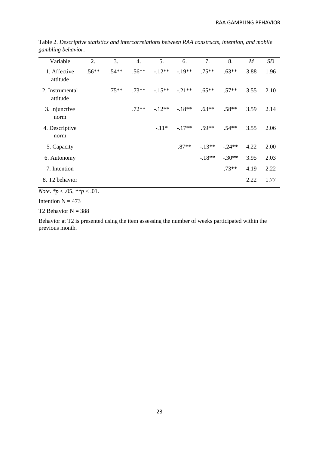| Variable                    | 2.      | 3.       | 4.      | 5.       | 6.       | 7.       | 8.       | $\boldsymbol{M}$ | SD   |
|-----------------------------|---------|----------|---------|----------|----------|----------|----------|------------------|------|
| 1. Affective<br>attitude    | $.56**$ | $.54**$  | $.56**$ | $-12**$  | $-.19**$ | $.75***$ | $.63**$  | 3.88             | 1.96 |
| 2. Instrumental<br>attitude |         | $.75***$ | $.73**$ | $-.15**$ | $-21**$  | $.65***$ | $.57**$  | 3.55             | 2.10 |
| 3. Injunctive<br>norm       |         |          | $.72**$ | $-12**$  | $-18**$  | $.63**$  | $.58**$  | 3.59             | 2.14 |
| 4. Descriptive<br>norm      |         |          |         | $-11*$   | $-17**$  | $.59**$  | $.54**$  | 3.55             | 2.06 |
| 5. Capacity                 |         |          |         |          | $.87**$  | $-13**$  | $-.24**$ | 4.22             | 2.00 |
| 6. Autonomy                 |         |          |         |          |          | $-18**$  | $-.30**$ | 3.95             | 2.03 |
| 7. Intention                |         |          |         |          |          |          | $.73**$  | 4.19             | 2.22 |
| 8. T <sub>2</sub> behavior  |         |          |         |          |          |          |          | 2.22             | 1.77 |

Table 2. *Descriptive statistics and intercorrelations between RAA constructs, intention, and mobile gambling behavior*.

*Note*. *\*p* < .05, *\*\*p* < .01.

Intention  $N = 473$ 

T2 Behavior  $N = 388$ 

Behavior at T2 is presented using the item assessing the number of weeks participated within the previous month.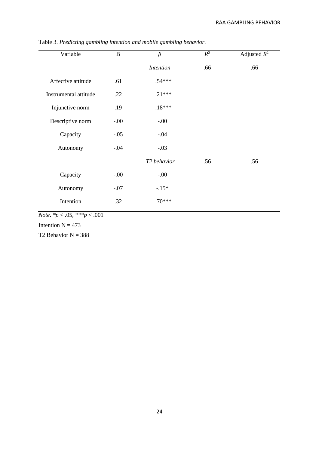| Variable              | $\, {\bf B}$ | $\beta$          | $\mathbb{R}^2$ | Adjusted $R^2$ |
|-----------------------|--------------|------------------|----------------|----------------|
|                       |              | <b>Intention</b> | .66            | .66            |
| Affective attitude    | .61          | $.54***$         |                |                |
| Instrumental attitude | .22          | $.21***$         |                |                |
| Injunctive norm       | .19          | $.18***$         |                |                |
| Descriptive norm      | $-.00$       | $-.00$           |                |                |
| Capacity              | $-.05$       | $-.04$           |                |                |
| Autonomy              | $-.04$       | $-.03$           |                |                |
|                       |              | T2 behavior      | .56            | .56            |
| Capacity              | $-.00$       | $-.00$           |                |                |
| Autonomy              | $-.07$       | $-.15*$          |                |                |
| Intention             | .32          | $.70***$         |                |                |

Table 3. *Predicting gambling intention and mobile gambling behavior*.

*Note*. *\*p* < .05, *\*\*\*p* < .001

Intention  $N = 473$ 

T2 Behavior  $N = 388$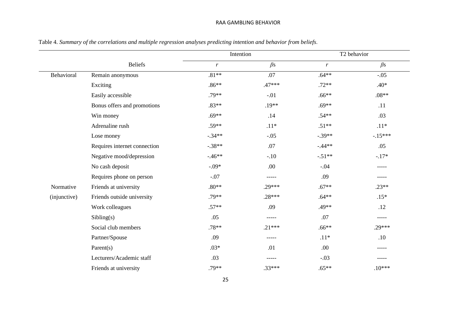|              |                              |              | Intention   |               | T <sub>2</sub> behavior |
|--------------|------------------------------|--------------|-------------|---------------|-------------------------|
|              | <b>Beliefs</b>               | $\mathbf{r}$ | $\beta$ s   | $\mathcal{r}$ | $\beta$ s               |
| Behavioral   | Remain anonymous             | $.81**$      | .07         | $.64**$       | $-.05$                  |
|              | Exciting                     | $.86**$      | $.47***$    | $.72**$       | .40*                    |
|              | Easily accessible            | $.79**$      | $-.01$      | $.66***$      | $.08**$                 |
|              | Bonus offers and promotions  | $.83**$      | $.19**$     | $.69**$       | .11                     |
|              | Win money                    | $.69**$      | .14         | $.54**$       | .03                     |
|              | Adrenaline rush              | $.59**$      | $.11*$      | $.51**$       | $.11*$                  |
|              | Lose money                   | $-.34**$     | $-.05$      | $-.39**$      | $-.15***$               |
|              | Requires internet connection | $-.38**$     | .07         | $-44**$       | .05                     |
|              | Negative mood/depression     | $-46**$      | $-.10$      | $-.51**$      | $-.17*$                 |
|              | No cash deposit              | $-.09*$      | .00.        | $-.04$        | -----                   |
|              | Requires phone on person     | $-.07$       | -----       | .09           | -----                   |
| Normative    | Friends at university        | $.80**$      | $.29***$    | $.67**$       | $.23**$                 |
| (injunctive) | Friends outside university   | $.79**$      | $.28***$    | $.64***$      | $.15*$                  |
|              | Work colleagues              | $.57**$      | .09         | .49**         | .12                     |
|              | Sibling(s)                   | .05          | -----       | .07           | -----                   |
|              | Social club members          | $.78**$      | $.21***$    | $.66**$       | $.29***$                |
|              | Partner/Spouse               | .09          | -----       | $.11*$        | .10                     |
|              | Parent $(s)$                 | $.03*$       | .01         | .00           | $- - - - -$             |
|              | Lecturers/Academic staff     | .03          | $- - - - -$ | $-.03$        | -----                   |
|              | Friends at university        | $.79**$      | $.33***$    | $.65***$      | $.10***$                |

Table 4. *Summary of the correlations and multiple regression analyses predicting intention and behavior from beliefs*.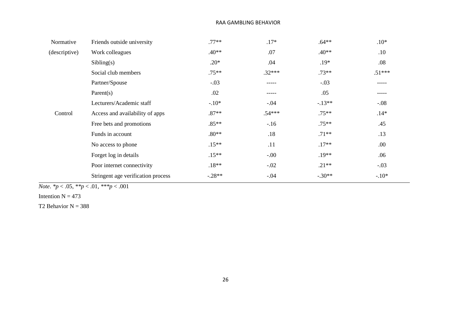| Normative     | Friends outside university         | $.77**$  | $.17*$      | $.64**$  | $.10*$   |
|---------------|------------------------------------|----------|-------------|----------|----------|
| (descriptive) | Work colleagues                    | $.40**$  | .07         | $.40**$  | .10      |
|               | Sibling(s)                         | $.20*$   | .04         | $.19*$   | .08      |
|               | Social club members                | $.75**$  | $.32***$    | $.73**$  | $.51***$ |
|               | Partner/Spouse                     | $-.03$   | -----       | $-.03$   | -----    |
|               | Parent $(s)$                       | .02      | $- - - - -$ | .05      | -----    |
|               | Lecturers/Academic staff           | $-.10*$  | $-.04$      | $-.13**$ | $-.08$   |
| Control       | Access and availability of apps    | $.87**$  | $.54***$    | $.75**$  | $.14*$   |
|               | Free bets and promotions           | $.85**$  | $-16$       | $.75**$  | .45      |
|               | Funds in account                   | $.80**$  | .18         | $.71**$  | .13      |
|               | No access to phone                 | $.15**$  | .11         | $.17**$  | .00.     |
|               | Forget log in details              | $.15**$  | $-.00$      | $.19**$  | .06      |
|               | Poor internet connectivity         | $.18**$  | $-.02$      | $.21**$  | $-.03$   |
|               | Stringent age verification process | $-.28**$ | $-.04$      | $-.30**$ | $-.10*$  |
|               |                                    |          |             |          |          |

*Note*. *\*p* < .05, *\*\*p* < .01, *\*\*\*p* < .001

Intention  $N = 473$ 

T2 Behavior  $N = 388$